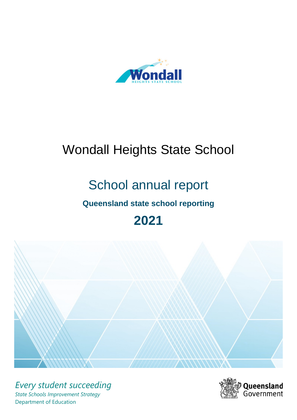

# Wondall Heights State School

# School annual report

# **Queensland state school reporting**

# **2021**



*Every student succeeding State Schools Improvement Strategy* Department of Education

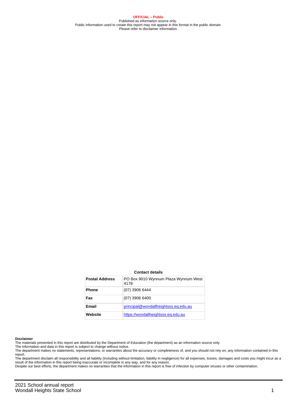**OFFICIAL – Public** Published as information source only. Public information used to create this report may not appear in this format in the public domain Please refer to disclaimer information.

#### **Contact details**

| <b>Postal Address</b> | PO Box 9010 Wynnum Plaza Wynnum West<br>4178 |
|-----------------------|----------------------------------------------|
| <b>Phone</b>          | (07) 3906 6444                               |
| Fax                   | $(07)$ 3906 6400                             |
| Email                 | principal@wondallheightsss.eq.edu.au         |
| Website               | https://wondallheightsss.eg.edu.au           |

#### **Disclaimer**

The materials presented in this report are distributed by the Department of Education (the department) as an information source only.

The information and data in this report is subject to change without notice.

The department makes no statements, representations, or warranties about the accuracy or completeness of, and you should not rely on, any information contained in this report.

The department disclaim all responsibility and all liability (including without limitation, liability in negligence) for all expenses, losses, damages and costs you might incur as a<br>result of the information in this report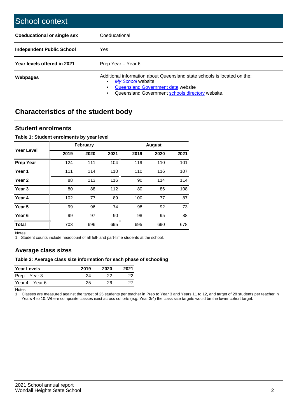| School context                   |                                                                                                                                                                                              |
|----------------------------------|----------------------------------------------------------------------------------------------------------------------------------------------------------------------------------------------|
| Coeducational or single sex      | Coeducational                                                                                                                                                                                |
| <b>Independent Public School</b> | Yes                                                                                                                                                                                          |
| Year levels offered in 2021      | Prep Year - Year 6                                                                                                                                                                           |
| Webpages                         | Additional information about Queensland state schools is located on the:<br>My School website<br>Queensland Government data website<br>Queensland Government schools directory website.<br>٠ |

# **Characteristics of the student body**

### **Student enrolments**

#### **Table 1: Student enrolments by year level**

|                   |      | <b>February</b> |      |      | <b>August</b> |      |
|-------------------|------|-----------------|------|------|---------------|------|
| Year Level        | 2019 | 2020            | 2021 | 2019 | 2020          | 2021 |
| <b>Prep Year</b>  | 124  | 111             | 104  | 119  | 110           | 101  |
| Year 1            | 111  | 114             | 110  | 110  | 116           | 107  |
| Year 2            | 88   | 113             | 116  | 90   | 114           | 114  |
| Year <sub>3</sub> | 80   | 88              | 112  | 80   | 86            | 108  |
| Year 4            | 102  | 77              | 89   | 100  | 77            | 87   |
| Year 5            | 99   | 96              | 74   | 98   | 92            | 73   |
| Year <sub>6</sub> | 99   | 97              | 90   | 98   | 95            | 88   |
| <b>Total</b>      | 703  | 696             | 695  | 695  | 690           | 678  |

Notes

1. Student counts include headcount of all full- and part-time students at the school.

### **Average class sizes**

#### **Table 2: Average class size information for each phase of schooling**

| <b>Year Levels</b> | 2019 | 2020 | 2021 |
|--------------------|------|------|------|
| Prep – Year 3      | 24   | つつ   | 22   |
| Year 4 – Year 6    | 25   | 26.  | 27   |

Notes

1. Classes are measured against the target of 25 students per teacher in Prep to Year 3 and Years 11 to 12, and target of 28 students per teacher in Years 4 to 10. Where composite classes exist across cohorts (e.g. Year 3/4) the class size targets would be the lower cohort target.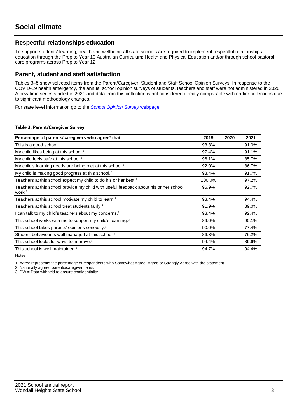## **Respectful relationships education**

To support students' learning, health and wellbeing all state schools are required to implement respectful relationships education through the Prep to Year 10 Australian Curriculum: Health and Physical Education and/or through school pastoral care programs across Prep to Year 12.

### **Parent, student and staff satisfaction**

Tables 3–5 show selected items from the Parent/Caregiver, Student and Staff School Opinion Surveys. In response to the COVID-19 health emergency, the annual school opinion surveys of students, teachers and staff were not administered in 2020. A new time series started in 2021 and data from this collection is not considered directly comparable with earlier collections due to significant methodology changes.

For state level information go to the **[School Opinion Survey](https://qed.qld.gov.au/publications/reports/statistics/schooling/schools/schoolopinionsurvey) webpage**.

#### **Table 3: Parent/Caregiver Survey**

| Percentage of parents/caregivers who agree <sup>1</sup> that:                                               | 2019   | 2020 | 2021  |
|-------------------------------------------------------------------------------------------------------------|--------|------|-------|
| This is a good school.                                                                                      | 93.3%  |      | 91.0% |
| My child likes being at this school. <sup>2</sup>                                                           | 97.4%  |      | 91.1% |
| My child feels safe at this school. <sup>2</sup>                                                            | 96.1%  |      | 85.7% |
| My child's learning needs are being met at this school. <sup>2</sup>                                        | 92.0%  |      | 86.7% |
| My child is making good progress at this school. <sup>2</sup>                                               | 93.4%  |      | 91.7% |
| Teachers at this school expect my child to do his or her best. <sup>2</sup>                                 | 100.0% |      | 97.2% |
| Teachers at this school provide my child with useful feedback about his or her school<br>work. <sup>2</sup> | 95.9%  |      | 92.7% |
| Teachers at this school motivate my child to learn. <sup>2</sup>                                            | 93.4%  |      | 94.4% |
| Teachers at this school treat students fairly. <sup>2</sup>                                                 | 91.9%  |      | 89.0% |
| can talk to my child's teachers about my concerns. <sup>2</sup>                                             | 93.4%  |      | 92.4% |
| This school works with me to support my child's learning. <sup>2</sup>                                      | 89.0%  |      | 90.1% |
| This school takes parents' opinions seriously. <sup>2</sup>                                                 | 90.0%  |      | 77.4% |
| Student behaviour is well managed at this school. <sup>2</sup>                                              | 86.3%  |      | 76.2% |
| This school looks for ways to improve. <sup>2</sup>                                                         | 94.4%  |      | 89.6% |
| This school is well maintained. <sup>2</sup>                                                                | 94.7%  |      | 94.4% |

Notes

1. Agree represents the percentage of respondents who Somewhat Agree, Agree or Strongly Agree with the statement.

2. Nationally agreed parents/caregiver items.

3. DW = Data withheld to ensure confidentiality.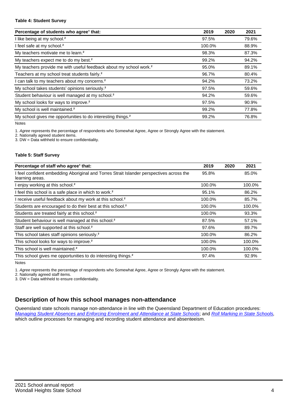#### **Table 4: Student Survey**

| Percentage of students who agree <sup>1</sup> that:                            | 2019   | 2020 | 2021  |
|--------------------------------------------------------------------------------|--------|------|-------|
| I like being at my school. <sup>2</sup>                                        | 97.5%  |      | 79.6% |
| I feel safe at my school. <sup>2</sup>                                         | 100.0% |      | 88.9% |
| My teachers motivate me to learn. <sup>2</sup>                                 | 98.3%  |      | 87.3% |
| My teachers expect me to do my best. <sup>2</sup>                              | 99.2%  |      | 94.2% |
| My teachers provide me with useful feedback about my school work. <sup>2</sup> | 95.0%  |      | 89.1% |
| Teachers at my school treat students fairly. <sup>2</sup>                      | 96.7%  |      | 80.4% |
| I can talk to my teachers about my concerns. <sup>2</sup>                      | 94.2%  |      | 73.2% |
| My school takes students' opinions seriously. <sup>2</sup>                     | 97.5%  |      | 59.6% |
| Student behaviour is well managed at my school. <sup>2</sup>                   | 94.2%  |      | 59.6% |
| My school looks for ways to improve. <sup>2</sup>                              | 97.5%  |      | 90.9% |
| My school is well maintained. <sup>2</sup>                                     | 99.2%  |      | 77.8% |
| My school gives me opportunities to do interesting things. <sup>2</sup>        | 99.2%  |      | 76.8% |

Notes

1. Agree represents the percentage of respondents who Somewhat Agree, Agree or Strongly Agree with the statement.

2. Nationally agreed student items.

3. DW = Data withheld to ensure confidentiality.

#### **Table 5: Staff Survey**

| Percentage of staff who agree <sup>1</sup> that:                                                            | 2019   | 2020 | 2021   |
|-------------------------------------------------------------------------------------------------------------|--------|------|--------|
| I feel confident embedding Aboriginal and Torres Strait Islander perspectives across the<br>learning areas. | 95.8%  |      | 85.0%  |
| I enjoy working at this school. <sup>2</sup>                                                                | 100.0% |      | 100.0% |
| I feel this school is a safe place in which to work. <sup>2</sup>                                           | 95.1%  |      | 86.2%  |
| I receive useful feedback about my work at this school. <sup>2</sup>                                        | 100.0% |      | 85.7%  |
| Students are encouraged to do their best at this school. <sup>2</sup>                                       | 100.0% |      | 100.0% |
| Students are treated fairly at this school. <sup>2</sup>                                                    | 100.0% |      | 93.3%  |
| Student behaviour is well managed at this school. <sup>2</sup>                                              | 87.5%  |      | 57.1%  |
| Staff are well supported at this school. <sup>2</sup>                                                       | 97.6%  |      | 89.7%  |
| This school takes staff opinions seriously. <sup>2</sup>                                                    | 100.0% |      | 86.2%  |
| This school looks for ways to improve. <sup>2</sup>                                                         | 100.0% |      | 100.0% |
| This school is well maintained. <sup>2</sup>                                                                | 100.0% |      | 100.0% |
| This school gives me opportunities to do interesting things. <sup>2</sup>                                   | 97.4%  |      | 92.9%  |

Notes

1. Agree represents the percentage of respondents who Somewhat Agree, Agree or Strongly Agree with the statement.

2. Nationally agreed staff items.

3. DW = Data withheld to ensure confidentiality.

## **Description of how this school manages non-attendance**

Queensland state schools manage non-attendance in line with the Queensland Department of Education procedures: [Managing Student Absences and Enforcing Enrolment and Attendance at State Schools](https://ppr.qed.qld.gov.au/pp/managing-student-absences-and-enforcing-enrolment-and-attendance-at-state-schools-procedure); and [Roll Marking in State Schools,](https://ppr.qed.qld.gov.au/pp/roll-marking-in-state-schools-procedure) which outline processes for managing and recording student attendance and absenteeism.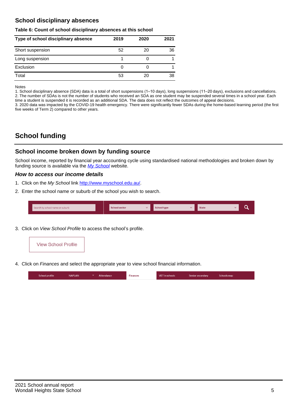## **School disciplinary absences**

#### **Table 6: Count of school disciplinary absences at this school**

| Type of school disciplinary absence | 2019 | 2020 | 2021 |
|-------------------------------------|------|------|------|
| Short suspension                    | 52   | 20   | 36   |
| Long suspension                     |      |      |      |
| Exclusion                           | 0    |      |      |
| Total                               | 53   | 20   | 38   |

Notes

1. School disciplinary absence (SDA) data is a total of short suspensions (1–10 days), long suspensions (11–20 days), exclusions and cancellations. 2. The number of SDAs is not the number of students who received an SDA as one student may be suspended several times in a school year. Each time a student is suspended it is recorded as an additional SDA. The data does not reflect the outcomes of appeal decisions.

3. 2020 data was impacted by the COVID-19 health emergency. There were significantly fewer SDAs during the home-based learning period (the first five weeks of Term 2) compared to other years.

# **School funding**

## **School income broken down by funding source**

School income, reported by financial year accounting cycle using standardised national methodologies and broken down by funding source is available via the [My School](http://www.myschool.edu.au/) website.

#### **How to access our income details**

- 1. Click on the My School link <http://www.myschool.edu.au/>.
- 2. Enter the school name or suburb of the school you wish to search.

|--|

3. Click on View School Profile to access the school's profile.



4. Click on Finances and select the appropriate year to view school financial information.

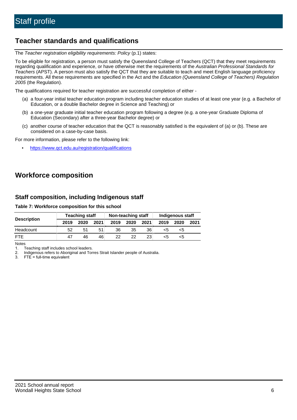# **Teacher standards and qualifications**

The Teacher registration eligibility requirements: Policy (p.1) states:

To be eligible for registration, a person must satisfy the Queensland College of Teachers (QCT) that they meet requirements regarding qualification and experience, or have otherwise met the requirements of the Australian Professional Standards for Teachers (APST). A person must also satisfy the QCT that they are suitable to teach and meet English language proficiency requirements. All these requirements are specified in the Act and the Education (Queensland College of Teachers) Regulation 2005 (the Regulation).

The qualifications required for teacher registration are successful completion of either -

- (a) a four-year initial teacher education program including teacher education studies of at least one year (e.g. a Bachelor of Education, or a double Bachelor degree in Science and Teaching) or
- (b) a one-year graduate initial teacher education program following a degree (e.g. a one-year Graduate Diploma of Education (Secondary) after a three-year Bachelor degree) or
- (c) another course of teacher education that the QCT is reasonably satisfied is the equivalent of (a) or (b). These are considered on a case-by-case basis.

For more information, please refer to the following link:

• <https://www.qct.edu.au/registration/qualifications>

# **Workforce composition**

## **Staff composition, including Indigenous staff**

#### **Table 7: Workforce composition for this school**

| <b>Description</b> | <b>Teaching staff</b> |      | Non-teaching staff |      |      | Indigenous staff |      |      |      |
|--------------------|-----------------------|------|--------------------|------|------|------------------|------|------|------|
|                    | 2019                  | 2020 | 2021               | 2019 | 2020 | 2021             | 2019 | 2020 | 2021 |
| Headcount          | 52                    | 51   | 51                 | 36   | 35   | 36               | <5   | <5   |      |
| <b>FTE</b>         | 47                    | 46   | 46                 | 22   | 22   | 23               | <5   | ה>   |      |

Notes

1. Teaching staff includes school leaders.

2. Indigenous refers to Aboriginal and Torres Strait Islander people of Australia.

3. FTE = full-time equivalent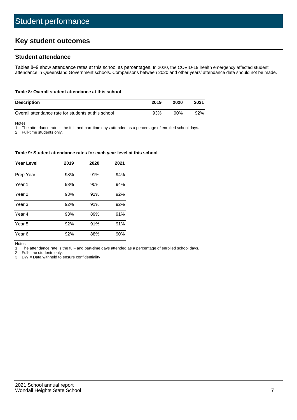# **Key student outcomes**

## **Student attendance**

Tables 8–9 show attendance rates at this school as percentages. In 2020, the COVID-19 health emergency affected student attendance in Queensland Government schools. Comparisons between 2020 and other years' attendance data should not be made.

#### **Table 8: Overall student attendance at this school**

| <b>Description</b>                                  | 2019 | 2020 | 2021 |
|-----------------------------------------------------|------|------|------|
| Overall attendance rate for students at this school | 93%  | 90%  | 92%  |

Notes

1. The attendance rate is the full- and part-time days attended as a percentage of enrolled school days.

2. Full-time students only.

#### **Table 9: Student attendance rates for each year level at this school**

| <b>Year Level</b> | 2019 | 2020 | 2021 |
|-------------------|------|------|------|
| Prep Year         | 93%  | 91%  | 94%  |
| Year <sub>1</sub> | 93%  | 90%  | 94%  |
| Year 2            | 93%  | 91%  | 92%  |
| Year <sub>3</sub> | 92%  | 91%  | 92%  |
| Year 4            | 93%  | 89%  | 91%  |
| Year 5            | 92%  | 91%  | 91%  |
| Year <sub>6</sub> | 92%  | 88%  | 90%  |

Notes

1. The attendance rate is the full- and part-time days attended as a percentage of enrolled school days.<br>2. Full-time students only.

Full-time students only.

3. DW = Data withheld to ensure confidentiality